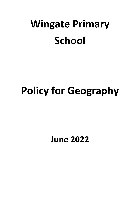# **Wingate Primary School**

# **Policy for Geography**

**June 2022**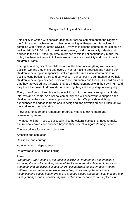# WINGATE PRIMARY SCHOOL

Geography Policy and Guidelines

This policy is written with consideration to our school commitment to the Rights of the Child and our achievement of becoming a Rights Respecting School and it complies with Article 28 of the UNCRC 'Every child has the right to an education' as well as Article 29 'Education must develop every child's personality, talents and abilities to the full.' Although direct reference to this is not continuously made, the policy has been written with full awareness of our responsibility and commitment to children's Rights.

The rights and dignity of our children are at the heart of everything we do, every decision we and they make and every driver for making progress and helping our children to develop as responsible, valued global citizens who want to make a positive contribution to their and our world. In our school it is our intent that we help children to develop resilience, perseverance, autonomy and focus. Our children learn that they are valued and valuable, they are independent people in their own right and they have the power to do wonderful, amazing things at every stage of every day.

Every one of our children is a unique individual with their own strengths, aptitudes, interests and dreams. As a school community, we will endeavour to support each child to make the most of every opportunity we offer. We provide enriching experiences to engage learners and in designing and developing our curriculum we have taken into consideration:

· how children learn and remember; progress means knowing more and remembering more

· what our children need to succeed in life; the cultural capital they need to make aspirational choices and succeed beyond their time at Wingate Primary School.

The key drivers for our curriculum are:

Ambition and aspiration

Resilience and courage

Autonomy and independence

Perseverance and solution finding

#### **Intent**

*"Geography grew as one of the earliest disciplines, from human experiences of exploring the world, in making sense of the location and distribution of places, in understanding the similarities and differences between places, in observing the patterns places create in the world around us, in discerning the processes, influences and effects that interrelate to produce places and patterns as they are and as they change, and in considering what actions are needed to create places that*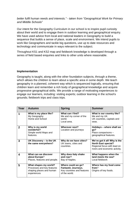*better fulfil human needs and interests." - taken from "Geographical Work for Primary and Middle Schools"*

Our intent for the Geography Curriculum in our school is to inspire pupil curiosity about their world and to engage them in outdoor learning and geographical enquiry. We have used advice from local and national leaders in Geography to build a sequence that builds a sense of place, scale and environment. We intend pupils to work like Geographers and tackle big questions, use up to date resources and technology and communicate in ways relevant to the subject.

Throughout KS1 and KS2 map and fieldwork knowledge is developed through a series of field based enquiries and links to other units where reasonable.

# **Implementation**

Geography is taught, along with the other foundation subjects, through a theme, which allows the children to learn about a specific area in some depth. We teach geography in a planned, coherent way which is sequenced logically, ensuring that children learn and remember a rich body of geographical knowledge and acquire progressive geographical skills. We provide a range of motivating experiences to engage our learners, including: visiting experts; outdoor learning in the school's grounds; fieldwork trips and class trips.

| Year         | <b>Autumn</b>                                                                                  | <b>Spring</b>                                                                                   | Summer                                                                                                                     |
|--------------|------------------------------------------------------------------------------------------------|-------------------------------------------------------------------------------------------------|----------------------------------------------------------------------------------------------------------------------------|
| 1            | What is my place like?<br>My Geography<br>Home and School                                      | What can I find?<br>Me and my corner of the<br>world.<br>Local area.                            | What is our country like?<br>Me and my UK.<br>UK countries, capitals and<br>seas.                                          |
| $\mathbf{2}$ | Why is my world<br>wonderful?<br>Simple world Maps and<br>features.                            | <b>Wherever next?</b><br>Location and journeys                                                  | Holidays - where shall we<br>go?<br>Place comparisons -<br>geographical features.                                          |
| 3            | UK Discovery - is the UK<br>the same everywhere?                                               | Why do we have cities?<br>UK towns, cities and<br>countries.                                    | We've got it all! Why is the<br><b>North East special?</b><br>Regional focus with lead on<br>rivers and economic activity. |
| 4            | What can we discover<br>about Europe?<br>Places, features and people.                          | Why does Italy shake<br>and roar?<br>Bay of Naples.                                             | What happens when the<br>land meets the sea?<br>Local fieldwork                                                            |
| 5            | What shapes my world?<br>Processes and key features<br>shaping places and human<br>experiences | Where could we go?<br><b>Fantastic Journeys.</b><br>Key countries and features<br>of the world. | Where has my food come<br>from?<br>Origins of key foods.                                                                   |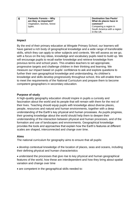| 6 | <b>Fantastic Forests – Why</b><br>are they so important?<br>Vegetation, biomes, forest | <b>Destination Sao Paulo!</b><br>What do places have in<br>common? |
|---|----------------------------------------------------------------------------------------|--------------------------------------------------------------------|
|   | types.                                                                                 | Comparing a region in<br>South America with a region               |
|   |                                                                                        | in the UK.                                                         |

# **Impact**

By the end of their primary education at Wingate Primary School, our learners will have gained a rich body of geographical knowledge and a wide range of transferable skills, which they can apply to other subjects and contexts. We will assess as we go, with a focus on the key ideas, knowledge and vocabulary pupils need to build up. We will encourage pupils to recall earlier knowledge and retrieve knowledge from previous terms and school years. This enables teachers to set appropriate, progressive targets and challenge children in their thinking and learning. We measure our impact based on pupils' confidence to ask and explore questions to further their own geographical knowledge and understanding. As children's knowledge and skills develop progressively throughout school, this will enable them to meet the requirements of the National Curriculum and prepare them to become competent geographers in secondary education.

# **Purpose of study**

A high-quality geography education should inspire in pupils a curiosity and fascination about the world and its people that will remain with them for the rest of their lives. Teaching should equip pupils with knowledge about diverse places, people, resources and natural and human environments, together with a deep understanding of the Earth's key physical and human processes. As pupils progress, their growing knowledge about the world should help them to deepen their understanding of the interaction between physical and human processes, and of the formation and use of landscapes and environments. Geographical knowledge provides the tools and approaches that explain how the Earth's features at different scales are shaped, interconnected and change over time.

#### **Aims**

The national curriculum for geography aims to ensure that all pupils:

• develop contextual knowledge of the location of places, seas and oceans, including their defining physical and human characteristics

• understand the processes that give rise to key physical and human geographical features of the world, how these are interdependent and how they bring about spatial variation and change over time

• are competent in the geographical skills needed to: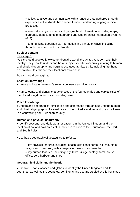• collect, analyse and communicate with a range of data gathered through experiences of fieldwork that deepen their understanding of geographical processes

• interpret a range of sources of geographical information, including maps, diagrams, globes, aerial photographs and Geographical Information Systems (GIS)

• communicate geographical information in a variety of ways, including through maps and writing at length.

# **Subject content**

# Key stage 1

Pupils should develop knowledge about the world, the United Kingdom and their locality. They should understand basic subject-specific vocabulary relating to human and physical geography and begin to use geographical skills, including first-hand observation, to enhance their locational awareness.

Pupils should be taught to:

# **Location knowledge**

• name and locate the world's seven continents and five oceans

• name, locate and identify characteristics of the four countries and capital cities of the United Kingdom and its surrounding seas

# **Place knowledge**

• understand geographical similarities and differences through studying the human and physical geography of a small area of the United Kingdom, and of a small area in a contrasting non-European country.

# **Human and physical geography**

• identify seasonal and daily weather patterns in the United Kingdom and the location of hot and cold areas of the world in relation to the Equator and the North and South Poles

• use basic geographical vocabulary to refer to:

- key physical features, including: beach, cliff, coast, forest, hill, mountain, sea, ocean, river, soil, valley, vegetation, season and weather
- key human features, including: city, town, village, factory, farm, house, office, port, harbour and shop

# **Geographical skills and fieldwork**

• use world maps, atlases and globes to identify the United Kingdom and its countries, as well as the countries, continents and oceans studied at this key stage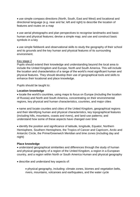• use simple compass directions (North, South, East and West) and locational and directional language (e.g. near and far; left and right) to describe the location of features and routes on a map

• use aerial photographs and plan perspectives to recognise landmarks and basic human and physical features; devise a simple map; and use and construct basic symbols in a key

• use simple fieldwork and observational skills to study the geography of their school and its grounds and the key human and physical features of its surrounding environment.

# Key stage 2

Pupils should extend their knowledge and understanding beyond the local area to include the United Kingdom and Europe, North and South America. This will include the location and characteristics of a range of the world's most significant human and physical features. They should develop their use of geographical tools and skills to enhance their locational and place knowledge.

Pupils should be taught to:

# **Location knowledge**

• locate the world's countries, using maps to focus on Europe (including the location of Russia) and North and South America, concentrating on their environmental regions, key physical and human characteristics, countries, and major cities

• name and locate counties and cities of the United Kingdom, geographical regions and their identifying human and physical characteristics, key topographical features (including hills, mountains, coasts and rivers), and land-use patterns; and understand how some of these aspects have changed over time

• identify the position and significance of latitude, longitude, Equator, Northern Hemisphere, Southern Hemisphere, the Tropics of Cancer and Capricorn, Arctic and Antarctic Circle, the Prime/Greenwich Meridian and time zones (including day and night)

# **Place knowledge**

• understand geographical similarities and differences through the study of human and physical geography of a region of the United Kingdom, a region in a European country, and a region within North or South America Human and physical geography

- describe and understand key aspects of:
	- physical geography, including: climate zones, biomes and vegetation belts, rivers, mountains, volcanoes and earthquakes, and the water cycle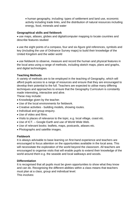• human geography, including: types of settlement and land use, economic activity including trade links, and the distribution of natural resources including energy, food, minerals and water

#### **Geographical skills and fieldwork**

• use maps, atlases, globes and digital/computer mapping to locate countries and describe features studied

• use the eight points of a compass, four and six-figure grid references, symbols and key (including the use of Ordnance Survey maps) to build their knowledge of the United Kingdom and the wider world

• use fieldwork to observe, measure and record the human and physical features in the local area using a range of methods, including sketch maps, plans and graphs, and digital technologies.

#### **Teaching Methods**

A variety of methods are to be employed in the teaching of Geography, which will afford pupils access to a range of resources and ensure that they are encouraged to develop their potential to the full. Teachers are expected to utilise many differing techniques and approaches to ensure that the Geography Curriculum is constantly made interesting, interactive and alive.

These may include:

- Knowledge given by the teacher.
- Use of the local environments for fieldwork.
- Creative activities building models, showing routes.
- Individual and group enquiry.
- Use of video and films.
- Visits to places of relevance to the topic, e.g. local village, coast etc.
- Use of ICT. Google Earth and use of World Wide Web.
- Use of relevant books: leaflets, maps, postcards, atlases etc.
- Photographs and satellite images.

#### **Fieldwork**

It is always advisable to base learning on first-hand experience and teachers are encouraged to focus attention on the opportunities available in the local area. This will necessitate the exploration of the world beyond the classroom. All teachers are encouraged to organise visits that will enable pupils to extend their knowledge of the world around them e.g. the seaside and local walkways and woods.

#### **Differentiation**

It is recognised that all pupils must be given opportunities to show what they know and can do. Recognising the different abilities within a class means that teachers must plan at a class, group and individual level. This involves: